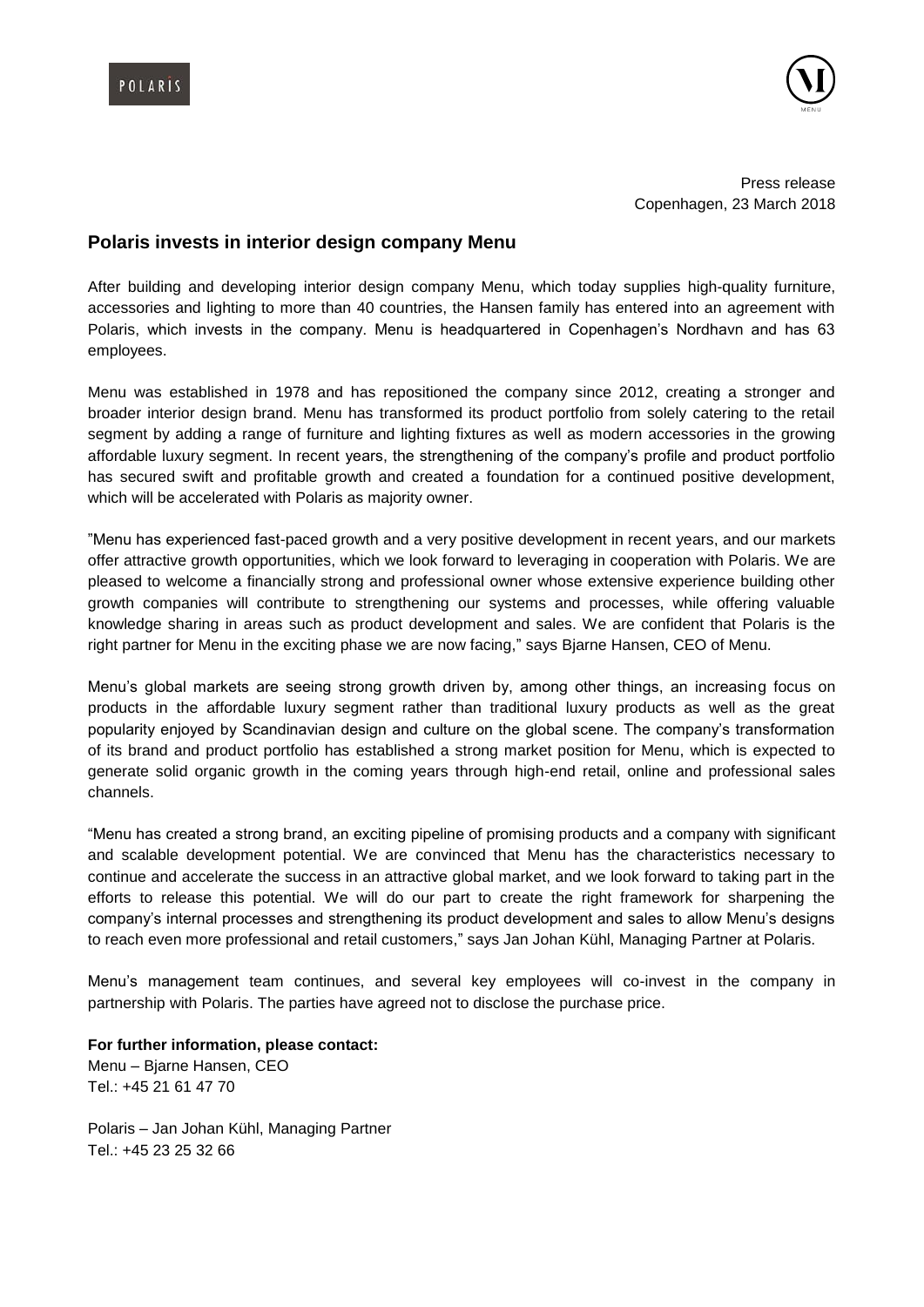



Press release Copenhagen, 23 March 2018

## **Polaris invests in interior design company Menu**

After building and developing interior design company Menu, which today supplies high-quality furniture, accessories and lighting to more than 40 countries, the Hansen family has entered into an agreement with Polaris, which invests in the company. Menu is headquartered in Copenhagen's Nordhavn and has 63 employees.

Menu was established in 1978 and has repositioned the company since 2012, creating a stronger and broader interior design brand. Menu has transformed its product portfolio from solely catering to the retail segment by adding a range of furniture and lighting fixtures as well as modern accessories in the growing affordable luxury segment. In recent years, the strengthening of the company's profile and product portfolio has secured swift and profitable growth and created a foundation for a continued positive development, which will be accelerated with Polaris as majority owner.

"Menu has experienced fast-paced growth and a very positive development in recent years, and our markets offer attractive growth opportunities, which we look forward to leveraging in cooperation with Polaris. We are pleased to welcome a financially strong and professional owner whose extensive experience building other growth companies will contribute to strengthening our systems and processes, while offering valuable knowledge sharing in areas such as product development and sales. We are confident that Polaris is the right partner for Menu in the exciting phase we are now facing," says Bjarne Hansen, CEO of Menu.

Menu's global markets are seeing strong growth driven by, among other things, an increasing focus on products in the affordable luxury segment rather than traditional luxury products as well as the great popularity enjoyed by Scandinavian design and culture on the global scene. The company's transformation of its brand and product portfolio has established a strong market position for Menu, which is expected to generate solid organic growth in the coming years through high-end retail, online and professional sales channels.

"Menu has created a strong brand, an exciting pipeline of promising products and a company with significant and scalable development potential. We are convinced that Menu has the characteristics necessary to continue and accelerate the success in an attractive global market, and we look forward to taking part in the efforts to release this potential. We will do our part to create the right framework for sharpening the company's internal processes and strengthening its product development and sales to allow Menu's designs to reach even more professional and retail customers," says Jan Johan Kühl, Managing Partner at Polaris.

Menu's management team continues, and several key employees will co-invest in the company in partnership with Polaris. The parties have agreed not to disclose the purchase price.

**For further information, please contact:** Menu – Bjarne Hansen, CEO Tel.: +45 21 61 47 70

Polaris – Jan Johan Kühl, Managing Partner Tel.: +45 23 25 32 66